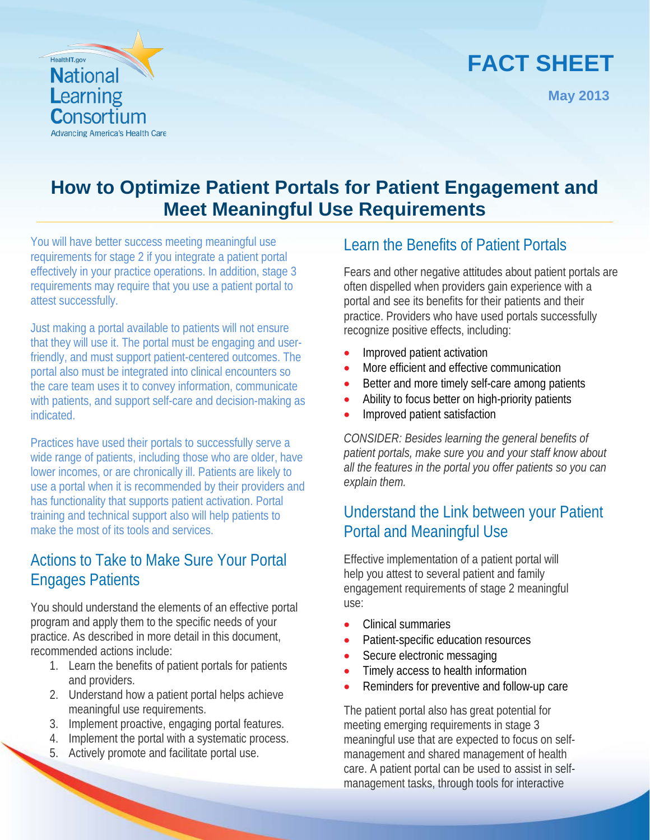# **FACT SHEET**

**May 2013**



# **How to Optimize Patient Portals for Patient Engagement and Meet Meaningful Use Requirements**

You will have better success meeting meaningful use requirements for stage 2 if you integrate a patient portal effectively in your practice operations. In addition, stage 3 requirements may require that you use a patient portal to attest successfully.

Just making a portal available to patients will not ensure that they will use it. The portal must be engaging and userfriendly, and must support patient-centered outcomes. The portal also must be integrated into clinical encounters so the care team uses it to convey information, communicate with patients, and support self-care and decision-making as indicated.

Practices have used their portals to successfully serve a wide range of patients, including those who are older, have lower incomes, or are chronically ill. Patients are likely to use a portal when it is recommended by their providers and has functionality that supports patient activation. Portal training and technical support also will help patients to make the most of its tools and services.

## Actions to Take to Make Sure Your Portal Engages Patients

You should understand the elements of an effective portal program and apply them to the specific needs of your practice. As described in more detail in this document, recommended actions include:

- 1. Learn the benefits of patient portals for patients and providers.
- 2. Understand how a patient portal helps achieve meaningful use requirements.
- 3. Implement proactive, engaging portal features.
- 4. Implement the portal with a systematic process.
- 5. Actively promote and facilitate portal use.

# Learn the Benefits of Patient Portals

Fears and other negative attitudes about patient portals are often dispelled when providers gain experience with a portal and see its benefits for their patients and their practice. Providers who have used portals successfully recognize positive effects, including:

- Improved patient activation
- More efficient and effective communication
- Better and more timely self-care among patients
- Ability to focus better on high-priority patients
- **Improved patient satisfaction**

*CONSIDER: Besides learning the general benefits of patient portals, make sure you and your staff know about all the features in the portal you offer patients so you can explain them.*

# Understand the Link between your Patient Portal and Meaningful Use

Effective implementation of a patient portal will help you attest to several patient and family engagement requirements of stage 2 meaningful use:

- Clinical summaries
- Patient-specific education resources
- Secure electronic messaging
- Timely access to health information
- Reminders for preventive and follow-up care

The patient portal also has great potential for meeting emerging requirements in stage 3 meaningful use that are expected to focus on selfmanagement and shared management of health care. A patient portal can be used to assist in selfmanagement tasks, through tools for interactive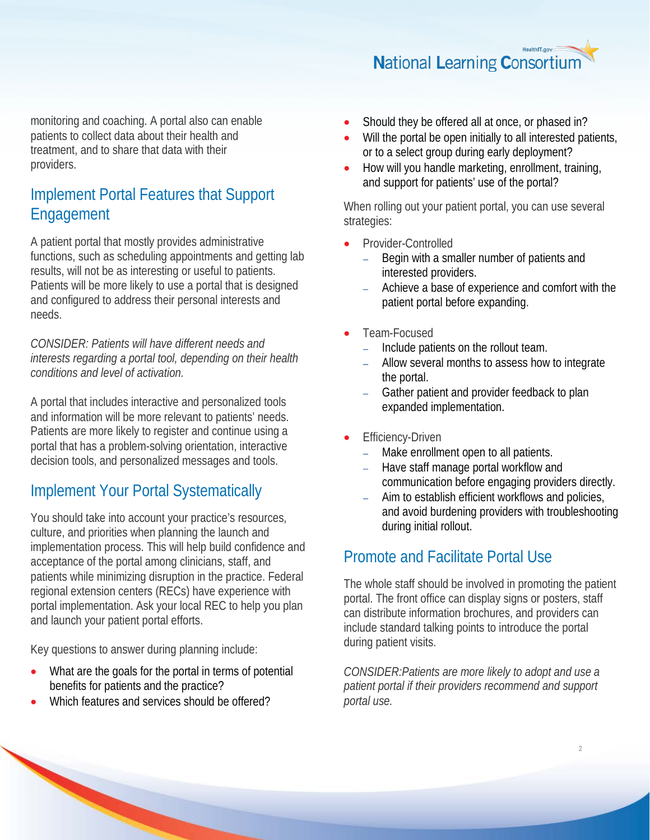**National Learning Consortium** 

monitoring and coaching. A portal also can enable patients to collect data about their health and treatment, and to share that data with their providers.

## Implement Portal Features that Support Engagement

A patient portal that mostly provides administrative functions, such as scheduling appointments and getting lab results, will not be as interesting or useful to patients. Patients will be more likely to use a portal that is designed and configured to address their personal interests and needs.

*CONSIDER: Patients will have different needs and interests regarding a portal tool, depending on their health conditions and level of activation.*

A portal that includes interactive and personalized tools and information will be more relevant to patients' needs. Patients are more likely to register and continue using a portal that has a problem-solving orientation, interactive decision tools, and personalized messages and tools.

## Implement Your Portal Systematically

You should take into account your practice's resources, culture, and priorities when planning the launch and implementation process. This will help build confidence and acceptance of the portal among clinicians, staff, and patients while minimizing disruption in the practice. Federal regional extension centers (RECs) have experience with portal implementation. Ask your local REC to help you plan and launch your patient portal efforts.

Key questions to answer during planning include:

- What are the goals for the portal in terms of potential benefits for patients and the practice?
- Which features and services should be offered?
- Should they be offered all at once, or phased in?
- Will the portal be open initially to all interested patients, or to a select group during early deployment?
- How will you handle marketing, enrollment, training, and support for patients' use of the portal?

When rolling out your patient portal, you can use several strategies:

- Provider-Controlled
	- Begin with a smaller number of patients and interested providers.
	- − Achieve a base of experience and comfort with the patient portal before expanding.
- Team-Focused
	- − Include patients on the rollout team.
	- − Allow several months to assess how to integrate the portal.
	- Gather patient and provider feedback to plan expanded implementation.
- **Efficiency-Driven** 
	- Make enrollment open to all patients.
	- − Have staff manage portal workflow and communication before engaging providers directly.
	- Aim to establish efficient workflows and policies, and avoid burdening providers with troubleshooting during initial rollout.

## Promote and Facilitate Portal Use

The whole staff should be involved in promoting the patient portal. The front office can display signs or posters, staff can distribute information brochures, and providers can include standard talking points to introduce the portal during patient visits.

*CONSIDER:Patients are more likely to adopt and use a patient portal if their providers recommend and support portal use.*